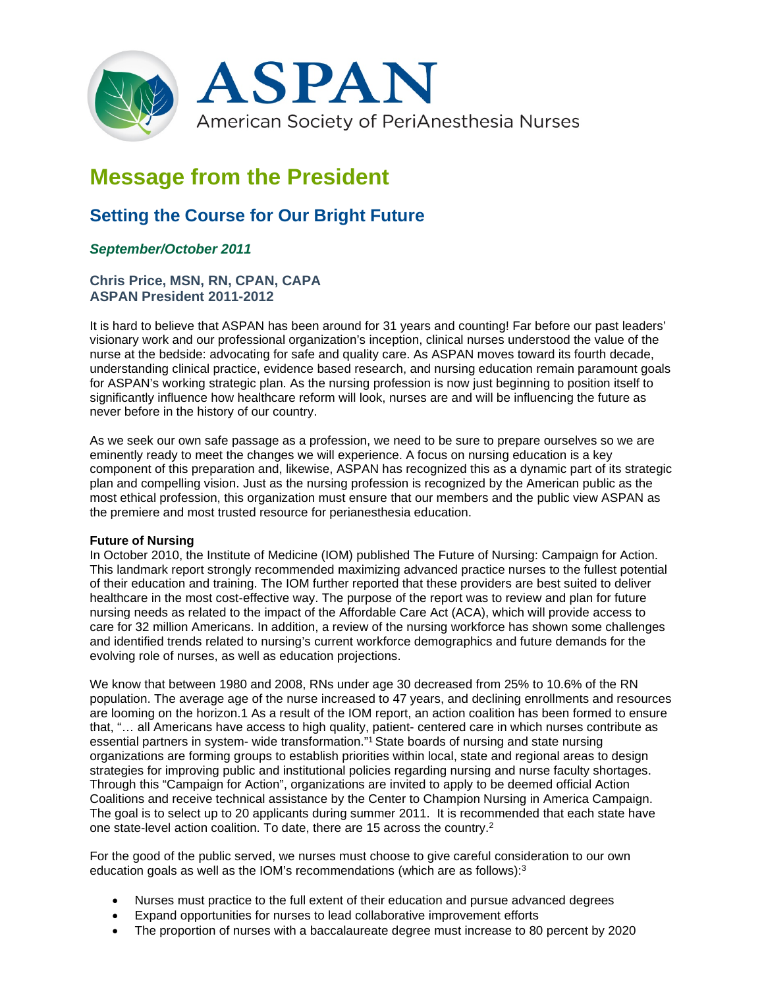

# **Message from the President**

# **Setting the Course for Our Bright Future**

# *September/October 2011*

## **Chris Price, MSN, RN, CPAN, CAPA ASPAN President 2011-2012**

It is hard to believe that ASPAN has been around for 31 years and counting! Far before our past leaders' visionary work and our professional organization's inception, clinical nurses understood the value of the nurse at the bedside: advocating for safe and quality care. As ASPAN moves toward its fourth decade, understanding clinical practice, evidence based research, and nursing education remain paramount goals for ASPAN's working strategic plan. As the nursing profession is now just beginning to position itself to significantly influence how healthcare reform will look, nurses are and will be influencing the future as never before in the history of our country.

As we seek our own safe passage as a profession, we need to be sure to prepare ourselves so we are eminently ready to meet the changes we will experience. A focus on nursing education is a key component of this preparation and, likewise, ASPAN has recognized this as a dynamic part of its strategic plan and compelling vision. Just as the nursing profession is recognized by the American public as the most ethical profession, this organization must ensure that our members and the public view ASPAN as the premiere and most trusted resource for perianesthesia education.

#### **Future of Nursing**

In October 2010, the Institute of Medicine (IOM) published The Future of Nursing: Campaign for Action. This landmark report strongly recommended maximizing advanced practice nurses to the fullest potential of their education and training. The IOM further reported that these providers are best suited to deliver healthcare in the most cost-effective way. The purpose of the report was to review and plan for future nursing needs as related to the impact of the Affordable Care Act (ACA), which will provide access to care for 32 million Americans. In addition, a review of the nursing workforce has shown some challenges and identified trends related to nursing's current workforce demographics and future demands for the evolving role of nurses, as well as education projections.

We know that between 1980 and 2008, RNs under age 30 decreased from 25% to 10.6% of the RN population. The average age of the nurse increased to 47 years, and declining enrollments and resources are looming on the horizon.1 As a result of the IOM report, an action coalition has been formed to ensure that, "… all Americans have access to high quality, patient- centered care in which nurses contribute as essential partners in system- wide transformation."1 State boards of nursing and state nursing organizations are forming groups to establish priorities within local, state and regional areas to design strategies for improving public and institutional policies regarding nursing and nurse faculty shortages. Through this "Campaign for Action", organizations are invited to apply to be deemed official Action Coalitions and receive technical assistance by the Center to Champion Nursing in America Campaign. The goal is to select up to 20 applicants during summer 2011. It is recommended that each state have one state-level action coalition. To date, there are 15 across the country.2

For the good of the public served, we nurses must choose to give careful consideration to our own education goals as well as the IOM's recommendations (which are as follows):3

- Nurses must practice to the full extent of their education and pursue advanced degrees
- Expand opportunities for nurses to lead collaborative improvement efforts
- The proportion of nurses with a baccalaureate degree must increase to 80 percent by 2020